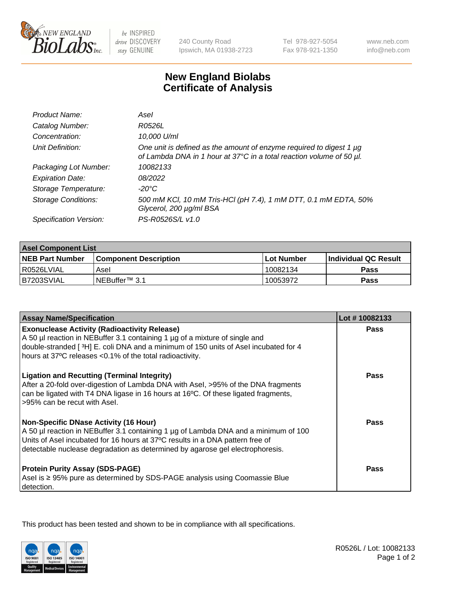

be INSPIRED drive DISCOVERY stay GENUINE

240 County Road Ipswich, MA 01938-2723 Tel 978-927-5054 Fax 978-921-1350

www.neb.com info@neb.com

## **New England Biolabs Certificate of Analysis**

| Product Name:              | Asel                                                                                                                                        |
|----------------------------|---------------------------------------------------------------------------------------------------------------------------------------------|
| Catalog Number:            | R0526L                                                                                                                                      |
| Concentration:             | 10,000 U/ml                                                                                                                                 |
| Unit Definition:           | One unit is defined as the amount of enzyme required to digest 1 µg<br>of Lambda DNA in 1 hour at 37°C in a total reaction volume of 50 µl. |
| Packaging Lot Number:      | 10082133                                                                                                                                    |
| <b>Expiration Date:</b>    | 08/2022                                                                                                                                     |
| Storage Temperature:       | $-20^{\circ}$ C                                                                                                                             |
| <b>Storage Conditions:</b> | 500 mM KCI, 10 mM Tris-HCI (pH 7.4), 1 mM DTT, 0.1 mM EDTA, 50%<br>Glycerol, 200 µg/ml BSA                                                  |
| Specification Version:     | PS-R0526S/L v1.0                                                                                                                            |

| <b>Asel Component List</b> |                              |            |                             |  |  |
|----------------------------|------------------------------|------------|-----------------------------|--|--|
| <b>NEB Part Number</b>     | <b>Component Description</b> | Lot Number | <b>Individual QC Result</b> |  |  |
| I R0526LVIAL               | Asel                         | 10082134   | Pass                        |  |  |
| IB7203SVIAL                | INEBuffer™ 3.1               | 10053972   | Pass                        |  |  |

| <b>Assay Name/Specification</b>                                                                                                                                                                                                                                                                       | Lot #10082133 |
|-------------------------------------------------------------------------------------------------------------------------------------------------------------------------------------------------------------------------------------------------------------------------------------------------------|---------------|
| <b>Exonuclease Activity (Radioactivity Release)</b><br>A 50 µl reaction in NEBuffer 3.1 containing 1 µg of a mixture of single and<br>double-stranded [3H] E. coli DNA and a minimum of 150 units of Asel incubated for 4<br>hours at 37°C releases <0.1% of the total radioactivity.                 | Pass          |
| <b>Ligation and Recutting (Terminal Integrity)</b><br>After a 20-fold over-digestion of Lambda DNA with Asel, >95% of the DNA fragments<br>can be ligated with T4 DNA ligase in 16 hours at 16°C. Of these ligated fragments,<br>>95% can be recut with Asel.                                         | Pass          |
| <b>Non-Specific DNase Activity (16 Hour)</b><br>A 50 µl reaction in NEBuffer 3.1 containing 1 µg of Lambda DNA and a minimum of 100<br>Units of Asel incubated for 16 hours at 37°C results in a DNA pattern free of<br>detectable nuclease degradation as determined by agarose gel electrophoresis. | Pass          |
| <b>Protein Purity Assay (SDS-PAGE)</b><br>Asel is ≥ 95% pure as determined by SDS-PAGE analysis using Coomassie Blue<br>detection.                                                                                                                                                                    | <b>Pass</b>   |

This product has been tested and shown to be in compliance with all specifications.